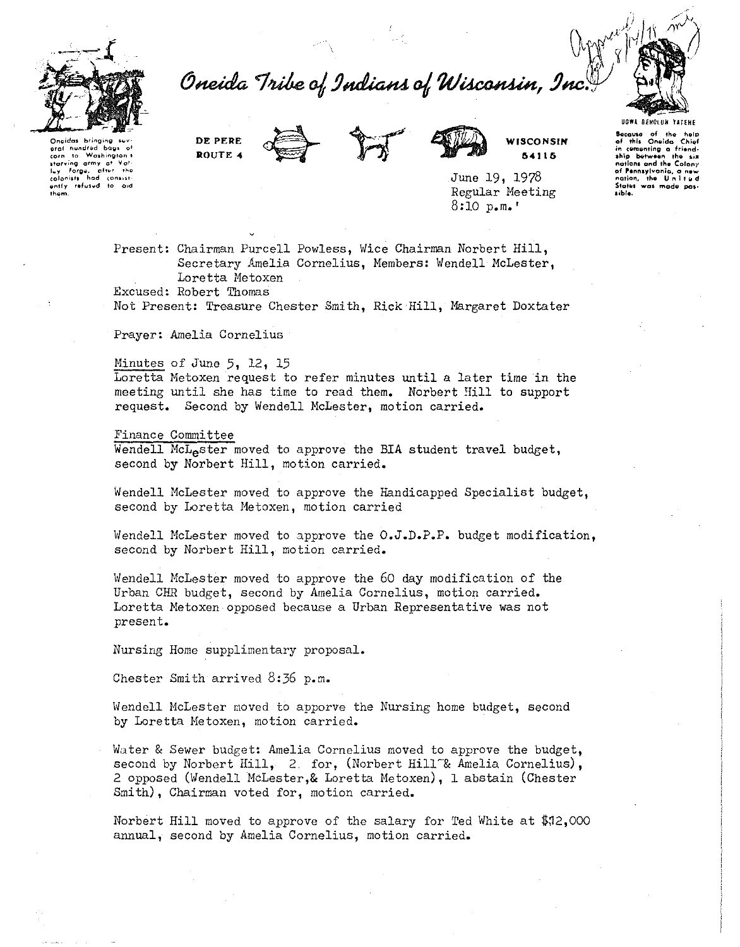

Oneida Tribe of Indians of Wisconsin, Inc



**Qngidas** bringing<br>aref hundred han **grof hundred bac**<br>corn to Washing **corn to Washington's**<br>starving army at Yal<br>luy Forgu, after tho<br>colonists hod consist**vntfy refused to aid thgrn.** 

**DE PERE ROUTE 4** 





**WISCONSIN 64116** 

June 19, 1978 Regular Meeting 8:10 p.m.'

Present: Chairman Purcell Powless, Wice Chairman Norbert *Hill,*  Secretary Amelia Cornelius, Members: Wendell McLester, Loretta Metoxen

Excused: Robert Thomas

Not Present: Treasure Chester Smith, *Rick Hill,* Margaret Doxtater

Prayer: Amelia Cornelius

Minutes of June 5, 12, 15

Loretta Metoxen request to refer minutes until a later time in the meeting until she has *time* to read them. Norbert Bill to support request. Second by Wendell McLester, motion carried.

Finance Committee

Wendell McL<sub>e</sub>ster moved to approve the BIA student travel budget, second by Norbert Hill, motion carried.

Wendell McLester moved to approve the Handicapped Specialist budget, second by Loretta Metoxen, motion carried

Wendell McLester moved to approve the O.J.D.P.P. budget modification. second by Norbert Hill, motion carried.

lvendell McLester moved to approve the 60 day modification of the Urban CHR budget, second by Amelia Cornelius, motion carried. Loretta Metoxen opposed because a Urban Representative was not present.

Nursing Home supplimentary proposal.

Chester Smith arrived 8:36 p.m.

Wendell McLester moved to apporve the Nursing home budget, second by Loretta Metoxen, motion carried.

Water & Sewer budget: Amelia Cornelius moved to approve the budget, second by Norbert Hill, 2 for, (Norbert Hill<sup>-&</sup> Amelia Cornelius), 2 opposed (Wendell McLester, & Loretta Metoxen), 1 abstain (Chester Smith), Chairman voted for, motion carried.

Norbert Hill moved to approve of the salary for Ted White at  $$12,000$ annual, second by Amelia Cornelius, motion carried.

**UGW. OfHOlUH YAHHE** 

**kcaws** of the holp of this Oneida Chief<br>
in cumunting a friend·<br> **1hip between the six**<br>
notions and the Colony **of P'•nn•yl,.onio, a new nation, the U n i 1 11 d Stol611 was modl! pc1· &ible.**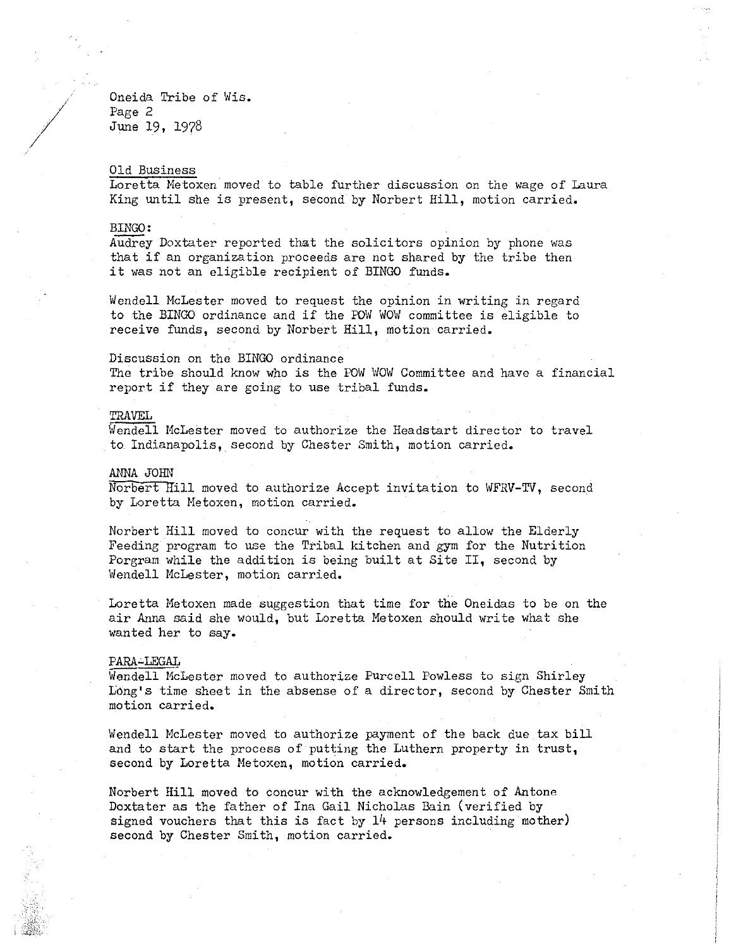Oneida Tribe of Wis. Page 2 June 19, 1978

# Old Business

Loretta Metoxen moved to table further discussion on the wage of Laura King until she is present, second by Norbert Hill, motion carried.

# BINGO:

*I* 

Audrey Doxtater reported that the solicitors opinion by phone was that if an organization proceeds are not shared by the tribe then it was not an eligible recipient of BINGO funds.

Wendell McLester moved to request the opinion in writing in regard to the BINGO ordinance and if the POW WOW committee is eligible to receive funds, second by Norbert Hill, motion carried.

# Discussion on the BINGO ordinance

The tribe should know who is the POW WOW Committee and have a financial report if they are going to use tribal funds.

# TRAVEL

Wendell McLester moved to authorize the Headstart director to travel to Indianapolis, second by Chester Smith, motion carried.

#### ANNA JOHN

Norbert Hill moved to authorize Accept invitation to WFRV-TV, second by Loretta Metoxen, motion carried.

Norbert Hill moved to concur with the request to allow the Elderly Feeding program to use the Tribal kitchen and gym for the Nutrition Porgram while the addition is being built at Site II, second by Wendell McLester, motion carried.

Loretta Metoxen made suggestion that time for the Oneidas to be on the air Anna said she would, but Loretta Metoxen should write what she wanted her to say.

#### PARA-LEGAL

Wendell McLester moved to authorize Purcell Powless to sign Shirley Long's time sheet in the absense of a director, second by Chester Smith motion carried.

Wendell McLester moved to authorize payment of the back due tax bill and to start the process of putting the Luthern property in trust, second by Loretta Metoxen, motion carried.

Norbert Hill moved to concur with the acknowledgement of Antone Doxtater as the father of Ina Gail Nicholas Bain (verified by signed vouchers that this is fact by 14 persons including mother) second by Chester Smith, motion carried.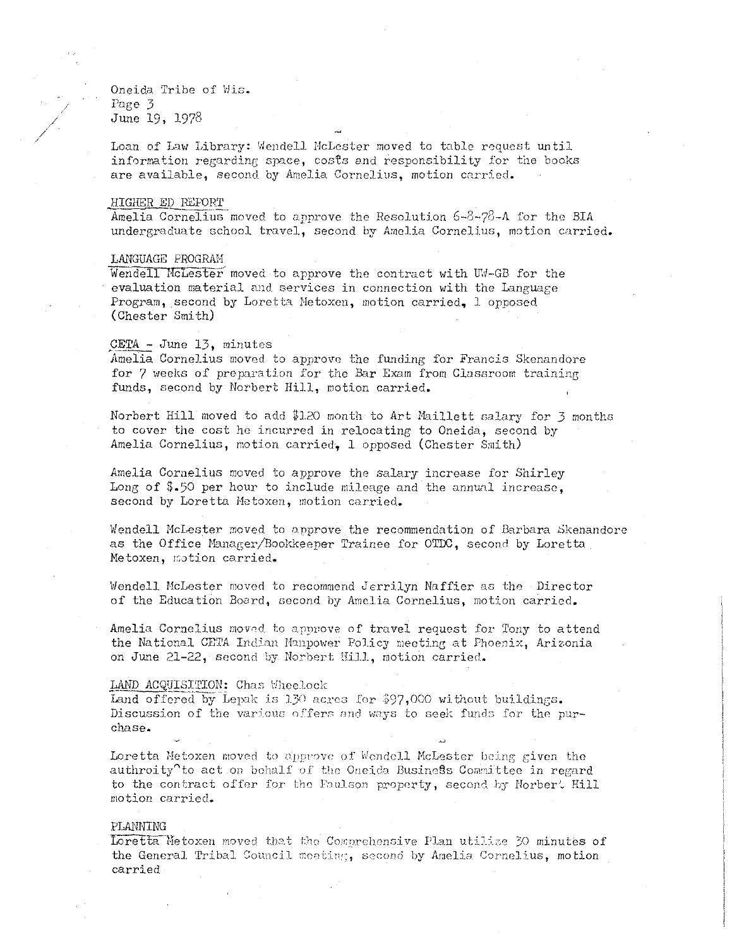Oneida Tribe of Wis. Page 3 June 19, 1978

*/*  /

> Loan of Law Library: Wendell McLester moved to table request until information regarding space, costs and responsibility for the books are available, second by Amelia Cornelius, motion carried.

# HIGHER ED REPORT

Amelia Cornelius moved to approve the Resolution  $6-8-78-4$  for the BIA undergraduate school travel, second by Amelia Cornelius, motion carried.

# LANGUAGE PROGRAH

Wendell McLester moved to approve the contract with UW-GB for the evaluation material and services in connection with the Language Program, second by Loretta Metoxen, motion carried, 1 opposed (Chester Smith)

## CETA - June 13, minutes

Amelia Cornelius moved to approve the funding for Francis Skenandore for 7 weeks of preparation for the Bar Exam from Classroom training funds, second by Norbert Hill, motion carried.

Norbert Hill moved to add \$1.20 month to Art Maillett salary for 3 months to cover the cost he incurred in relocating to Oneida, second by Amelia Cornelius, motion carried, l opposed (Chester Smith)

Amelia Cornelius moved to approve the salary increase for Shirley Long of \$.50 per hour to include mileage and the annual increase. second by Loretta Metoxen, motion carried.

Wendell McLester moved to approve the recommendation of Barbara Skenandore as the Office Manager/Bookkeeper Trainee for OTDC, second by Loretta Metoxen, motion carried.

Wendell McLester moved to recommend Jerrilyn Naffier as the Director of the Education Board, Gecond by Amelia Cornelius, motion carried ..

Amelia Cornelius moved to approve of travel request for Tony to attend the National CETA Indian Manpower Policy meeting at Phoenix, Arizonia on June 21-22, second by Norbert Hill, motion carried.

### IAND ACQUISITION: Chas Wheelock

Land offered by Lepak is 130 acres for  $$97,000$  without buildings. Discussion of the various offers and ways to seek funds for the purchase.

Loretta Metoxen moved to approve of Wendell McLester being given the authroity<sup> $\gamma$ </sup> to act on behalf of the Oneida Business Committee in regard to the contract offer for the Faulson property, second by Norbert Hill motion carried.

# PLANNING

Loretta Metoxen moved that the Comprehensive Plan utilize 30 minutes of the General Tribal Council meeting, second by Amelia Cornelius, motion carried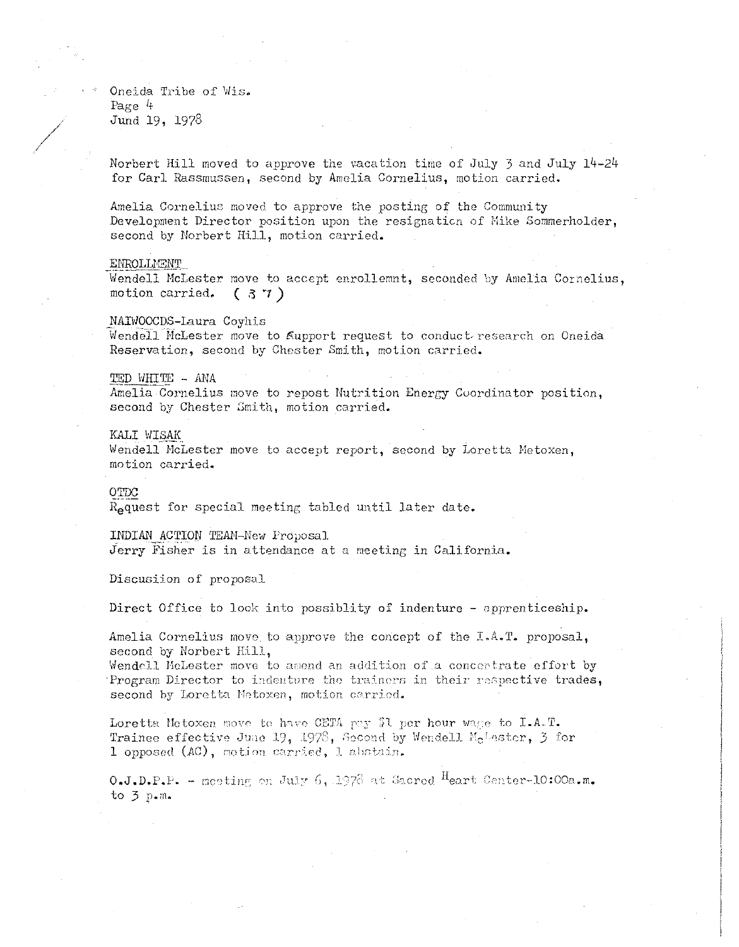Oneida Tribe of Wis. Page  $4$ Jund 19, 1978

Norbert Hill moved to approve the vacation time of July 3 and July 14-24 for Carl Rassmussen, second by Amelia Cornelius, motion carried.

Amelia Cornelius moved to approve the posting of the Community Development Director position upon the resignation of Mike Sommerholder, second by Norbert Hill, motion carried.

### ENROLLMENT

Wendell McLester move to accept enrollemnt, seconded by Amelia Cornelius, motion carried.  $(37)$ 

NAIWOOCDS-Laura Coyhis

Wendell McLester move to Support request to conduct research on Oneida Reservation, second by Chester Smith, motion carried.

#### TED WHITE - ANA

Amelia Cornelius move to repost Nutrition Energy Coordinator position, second by Chester Smith, motion carried.

# KALI WISAK

Wendell McLester move to accept report, second by Loretta Metoxen, motion carried.

# OTDC

R<sub>o</sub>quest for special meeting tabled until later date.

INDIAN ACTION TEAM-New Proposal Jerry Fisher is in attendance at a meeting in California.

Discusiion of proposal

Direct Office to look into possiblity of indenture - apprenticeship.

Amelia Cornelius move to approve the concept of the I.A.T. proposal, second by Norbert Hill,

Wendell MeLester move to amend an addition of a concertrate effort by Program Director to indenture the trainers in their respective trades, second by Loretta Metoxen, motion carried.

Loretta Metoxen move to have CETA pay \$1 per hour wage to I.A.T. Trainee effective June 19, 1978, Second by Wendell McLester, 3 for 1 opposed (AC), motion carried, 1 abstain.

 $0. J.D.P.P.$  - neeting on July 6, 1978 at Sacred Heart Center-10:00a.m. to  $3$  p.m.